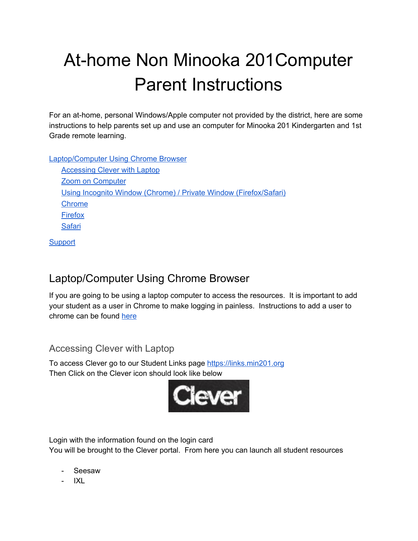# At-home Non Minooka 201Computer Parent Instructions

For an at-home, personal Windows/Apple computer not provided by the district, here are some instructions to help parents set up and use an computer for Minooka 201 Kindergarten and 1st Grade remote learning.

[Laptop/Computer](#page-0-0) Using Chrome Browser

[Accessing](#page-0-1) Clever with Laptop Zoom on [Computer](#page-1-0) Using Incognito Window (Chrome) / Private Window [\(Firefox/Safari\)](#page-1-1) [Chrome](#page-1-2) [Firefox](#page-2-0) **[Safari](#page-3-0)** 

**[Support](#page-4-0)** 

## <span id="page-0-0"></span>Laptop/Computer Using Chrome Browser

If you are going to be using a laptop computer to access the resources. It is important to add your student as a user in Chrome to make logging in painless. Instructions to add a user to chrome can be found [here](#page-1-1)

## <span id="page-0-1"></span>Accessing Clever with Laptop

To access Clever go to our Student Links page [https://links.min201.org](https://links.min201.org/) Then Click on the Clever icon should look like below



Login with the information found on the login card You will be brought to the Clever portal. From here you can launch all student resources

- Seesaw
- IXL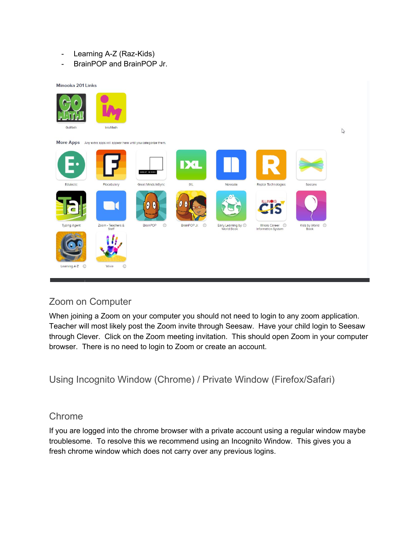- Learning A-Z (Raz-Kids)
- BrainPOP and BrainPOP Jr.



## <span id="page-1-0"></span>Zoom on Computer

When joining a Zoom on your computer you should not need to login to any zoom application. Teacher will most likely post the Zoom invite through Seesaw. Have your child login to Seesaw through Clever. Click on the Zoom meeting invitation. This should open Zoom in your computer browser. There is no need to login to Zoom or create an account.

<span id="page-1-1"></span>Using Incognito Window (Chrome) / Private Window (Firefox/Safari)

#### <span id="page-1-2"></span>Chrome

If you are logged into the chrome browser with a private account using a regular window maybe troublesome. To resolve this we recommend using an Incognito Window. This gives you a fresh chrome window which does not carry over any previous logins.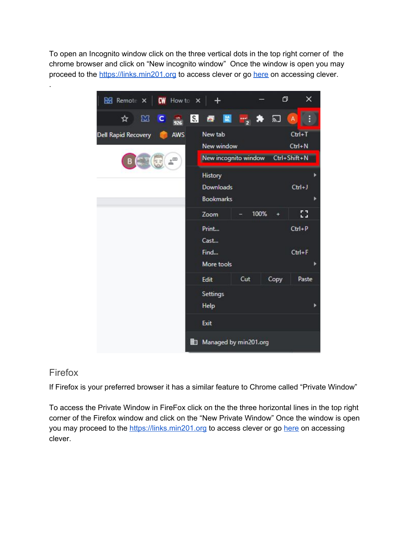To open an Incognito window click on the three vertical dots in the top right corner of the chrome browser and click on "New incognito window" Once the window is open you may proceed to the [https://links.min201.org](https://links.min201.org/) to access clever or go [here](#page-0-1) on accessing clever.



#### <span id="page-2-0"></span>Firefox

.

If Firefox is your preferred browser it has a similar feature to Chrome called "Private Window"

To access the Private Window in FireFox click on the the three horizontal lines in the top right corner of the Firefox window and click on the "New Private Window" Once the window is open you may proceed to the [https://links.min201.org](https://links.min201.org/) to access clever or go [here](#page-0-1) on accessing clever.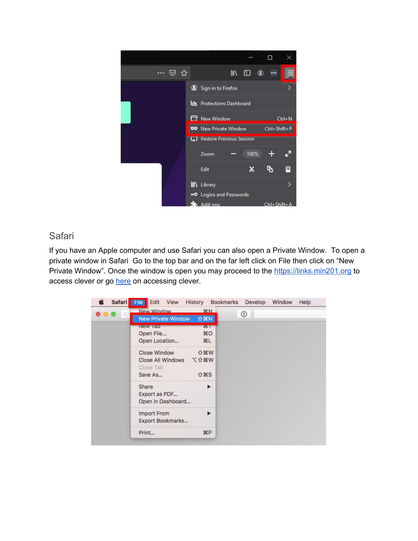

#### <span id="page-3-0"></span>Safari

If you have an Apple computer and use Safari you can also open a Private Window. To open a private window in Safari Go to the top bar and on the far left click on File then click on "New Private Window". Once the window is open you may proceed to the [https://links.min201.org](https://links.min201.org/) to access clever or go [here](#page-0-1) on accessing clever.